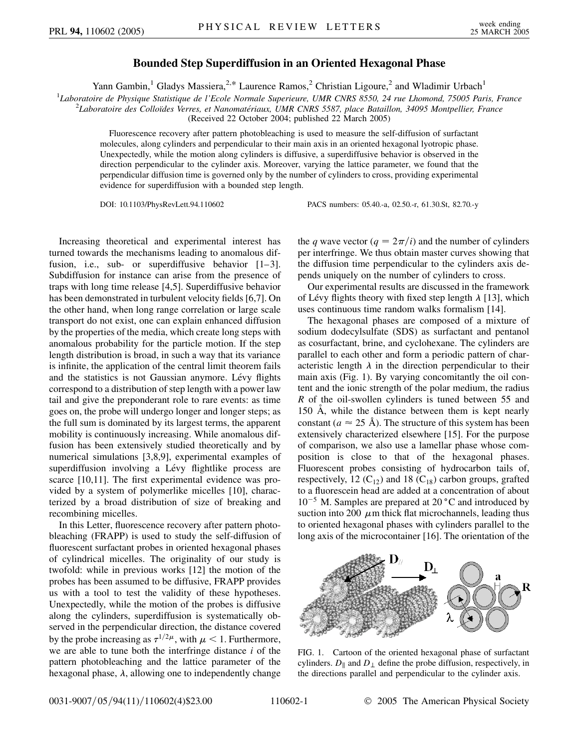## **Bounded Step Superdiffusion in an Oriented Hexagonal Phase**

Yann Gambin,<sup>1</sup> Gladys Massiera,<sup>2,\*</sup> Laurence Ramos,<sup>2</sup> Christian Ligoure,<sup>2</sup> and Wladimir Urbach<sup>1</sup>

1 *Laboratoire de Physique Statistique de l'Ecole Normale Superieure, UMR CNRS 8550, 24 rue Lhomond, 75005 Paris, France* <sup>2</sup>

*Laboratoire des Colloı¨des Verres, et Nanomate´riaux, UMR CNRS 5587, place Bataillon, 34095 Montpellier, France*

(Received 22 October 2004; published 22 March 2005)

Fluorescence recovery after pattern photobleaching is used to measure the self-diffusion of surfactant molecules, along cylinders and perpendicular to their main axis in an oriented hexagonal lyotropic phase. Unexpectedly, while the motion along cylinders is diffusive, a superdiffusive behavior is observed in the direction perpendicular to the cylinder axis. Moreover, varying the lattice parameter, we found that the perpendicular diffusion time is governed only by the number of cylinders to cross, providing experimental evidence for superdiffusion with a bounded step length.

DOI: 10.1103/PhysRevLett.94.110602 PACS numbers: 05.40.-a, 02.50.-r, 61.30.St, 82.70.-y

Increasing theoretical and experimental interest has turned towards the mechanisms leading to anomalous diffusion, i.e., sub- or superdiffusive behavior [1–3]. Subdiffusion for instance can arise from the presence of traps with long time release [4,5]. Superdiffusive behavior has been demonstrated in turbulent velocity fields [6,7]. On the other hand, when long range correlation or large scale transport do not exist, one can explain enhanced diffusion by the properties of the media, which create long steps with anomalous probability for the particle motion. If the step length distribution is broad, in such a way that its variance is infinite, the application of the central limit theorem fails and the statistics is not Gaussian anymore. Lévy flights correspond to a distribution of step length with a power law tail and give the preponderant role to rare events: as time goes on, the probe will undergo longer and longer steps; as the full sum is dominated by its largest terms, the apparent mobility is continuously increasing. While anomalous diffusion has been extensively studied theoretically and by numerical simulations [3,8,9], experimental examples of superdiffusion involving a Lévy flightlike process are scarce [10,11]. The first experimental evidence was provided by a system of polymerlike micelles [10], characterized by a broad distribution of size of breaking and recombining micelles.

In this Letter, fluorescence recovery after pattern photobleaching (FRAPP) is used to study the self-diffusion of fluorescent surfactant probes in oriented hexagonal phases of cylindrical micelles. The originality of our study is twofold: while in previous works [12] the motion of the probes has been assumed to be diffusive, FRAPP provides us with a tool to test the validity of these hypotheses. Unexpectedly, while the motion of the probes is diffusive along the cylinders, superdiffusion is systematically observed in the perpendicular direction, the distance covered by the probe increasing as  $\tau^{1/2\mu}$ , with  $\mu < 1$ . Furthermore, we are able to tune both the interfringe distance *i* of the pattern photobleaching and the lattice parameter of the hexagonal phase,  $\lambda$ , allowing one to independently change the *q* wave vector ( $q = 2\pi/i$ ) and the number of cylinders per interfringe. We thus obtain master curves showing that the diffusion time perpendicular to the cylinders axis depends uniquely on the number of cylinders to cross.

Our experimental results are discussed in the framework of Lévy flights theory with fixed step length  $\lambda$  [13], which uses continuous time random walks formalism [14].

The hexagonal phases are composed of a mixture of sodium dodecylsulfate (SDS) as surfactant and pentanol as cosurfactant, brine, and cyclohexane. The cylinders are parallel to each other and form a periodic pattern of characteristic length  $\lambda$  in the direction perpendicular to their main axis (Fig. 1). By varying concomitantly the oil content and the ionic strength of the polar medium, the radius *R* of the oil-swollen cylinders is tuned between 55 and 150 Å, while the distance between them is kept nearly constant ( $a \approx 25 \text{ Å}$ ). The structure of this system has been extensively characterized elsewhere [15]. For the purpose of comparison, we also use a lamellar phase whose composition is close to that of the hexagonal phases. Fluorescent probes consisting of hydrocarbon tails of, respectively, 12  $(C_{12})$  and 18  $(C_{18})$  carbon groups, grafted to a fluorescein head are added at a concentration of about  $10^{-5}$  M. Samples are prepared at 20 °C and introduced by suction into 200  $\mu$ m thick flat microchannels, leading thus to oriented hexagonal phases with cylinders parallel to the long axis of the microcontainer [16]. The orientation of the



FIG. 1. Cartoon of the oriented hexagonal phase of surfactant cylinders.  $D_{\parallel}$  and  $D_{\perp}$  define the probe diffusion, respectively, in the directions parallel and perpendicular to the cylinder axis.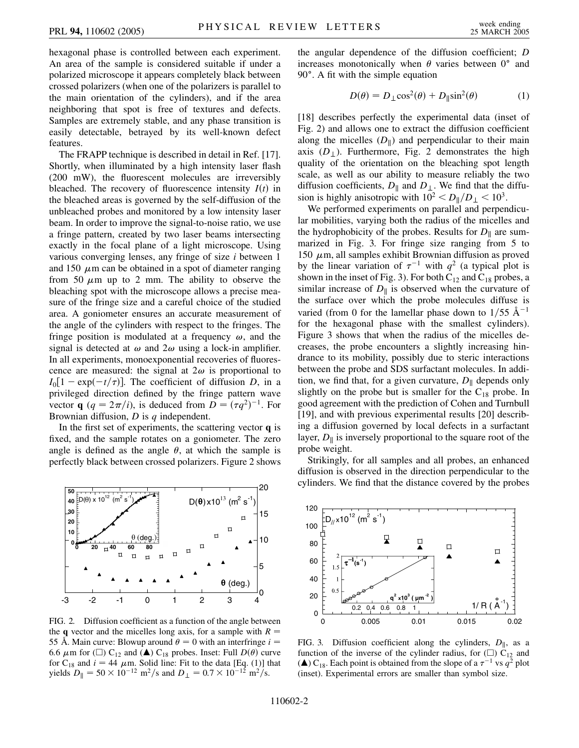hexagonal phase is controlled between each experiment. An area of the sample is considered suitable if under a polarized microscope it appears completely black between crossed polarizers (when one of the polarizers is parallel to the main orientation of the cylinders), and if the area neighboring that spot is free of textures and defects. Samples are extremely stable, and any phase transition is easily detectable, betrayed by its well-known defect features.

The FRAPP technique is described in detail in Ref. [17]. Shortly, when illuminated by a high intensity laser flash (200 mW), the fluorescent molecules are irreversibly bleached. The recovery of fluorescence intensity  $I(t)$  in the bleached areas is governed by the self-diffusion of the unbleached probes and monitored by a low intensity laser beam. In order to improve the signal-to-noise ratio, we use a fringe pattern, created by two laser beams intersecting exactly in the focal plane of a light microscope. Using various converging lenses, any fringe of size *i* between 1 and 150  $\mu$ m can be obtained in a spot of diameter ranging from 50  $\mu$ m up to 2 mm. The ability to observe the bleaching spot with the microscope allows a precise measure of the fringe size and a careful choice of the studied area. A goniometer ensures an accurate measurement of the angle of the cylinders with respect to the fringes. The fringe position is modulated at a frequency  $\omega$ , and the signal is detected at  $\omega$  and  $2\omega$  using a lock-in amplifier. In all experiments, monoexponential recoveries of fluorescence are measured: the signal at  $2\omega$  is proportional to  $I_0[1 - \exp(-t/\tau)]$ . The coefficient of diffusion *D*, in a privileged direction defined by the fringe pattern wave vector **q**  $(q = 2\pi/i)$ , is deduced from  $D = (\tau q^2)^{-1}$ . For Brownian diffusion, *D* is *q* independent.

In the first set of experiments, the scattering vector **q** is fixed, and the sample rotates on a goniometer. The zero angle is defined as the angle  $\theta$ , at which the sample is perfectly black between crossed polarizers. Figure 2 shows



FIG. 2. Diffusion coefficient as a function of the angle between the **q** vector and the micelles long axis, for a sample with  $R =$ 55 Å. Main curve: Blowup around  $\theta = 0$  with an interfringe  $i =$ 6.6  $\mu$ m for ( $\square$ ) C<sub>12</sub> and ( $\blacktriangle$ ) C<sub>18</sub> probes. Inset: Full  $D(\theta)$  curve for  $C_{18}$  and  $i = 44 \mu m$ . Solid line: Fit to the data [Eq. (1)] that yields  $D_{\parallel} = 50 \times 10^{-12} \text{ m}^2/\text{s}$  and  $D_{\perp} = 0.7 \times 10^{-12} \text{ m}^2/\text{s}$ .

the angular dependence of the diffusion coefficient; *D* increases monotonically when  $\theta$  varies between  $0^{\circ}$  and 90°. A fit with the simple equation

$$
D(\theta) = D_{\perp} \cos^2(\theta) + D_{\parallel} \sin^2(\theta) \tag{1}
$$

[18] describes perfectly the experimental data (inset of Fig. 2) and allows one to extract the diffusion coefficient along the micelles  $(D_{\parallel})$  and perpendicular to their main axis  $(D_{\perp})$ . Furthermore, Fig. 2 demonstrates the high quality of the orientation on the bleaching spot length scale, as well as our ability to measure reliably the two diffusion coefficients,  $D_{\parallel}$  and  $D_{\perp}$ . We find that the diffusion is highly anisotropic with  $10^2 < D_{\parallel}/D_{\perp} < 10^3$ .

We performed experiments on parallel and perpendicular mobilities, varying both the radius of the micelles and the hydrophobicity of the probes. Results for  $D_{\parallel}$  are summarized in Fig. 3. For fringe size ranging from 5 to 150  $\mu$ m, all samples exhibit Brownian diffusion as proved by the linear variation of  $\tau^{-1}$  with  $q^2$  (a typical plot is shown in the inset of Fig. 3). For both  $C_{12}$  and  $C_{18}$  probes, a similar increase of  $D_{\parallel}$  is observed when the curvature of the surface over which the probe molecules diffuse is varied (from 0 for the lamellar phase down to  $1/55 \text{ Å}^{-1}$ for the hexagonal phase with the smallest cylinders). Figure 3 shows that when the radius of the micelles decreases, the probe encounters a slightly increasing hindrance to its mobility, possibly due to steric interactions between the probe and SDS surfactant molecules. In addition, we find that, for a given curvature,  $D_{\parallel}$  depends only slightly on the probe but is smaller for the  $C_{18}$  probe. In good agreement with the prediction of Cohen and Turnbull [19], and with previous experimental results [20] describing a diffusion governed by local defects in a surfactant layer,  $D_{\parallel}$  is inversely proportional to the square root of the probe weight.

Strikingly, for all samples and all probes, an enhanced diffusion is observed in the direction perpendicular to the cylinders. We find that the distance covered by the probes



FIG. 3. Diffusion coefficient along the cylinders,  $D_{\parallel}$ , as a function of the inverse of the cylinder radius, for  $\left(\Box\right)$  C<sub>12</sub> and ( $\triangle$ ) C<sub>18</sub>. Each point is obtained from the slope of a  $\tau^{-1}$  vs  $q^2$  plot (inset). Experimental errors are smaller than symbol size.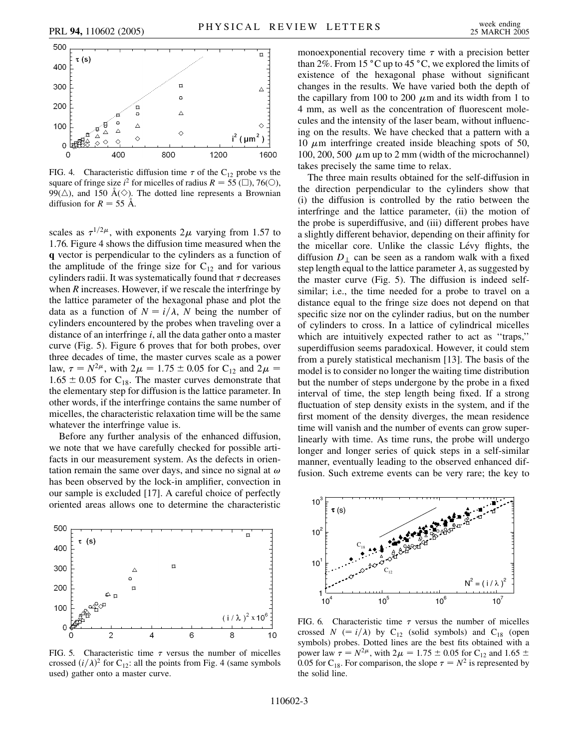



FIG. 4. Characteristic diffusion time  $\tau$  of the C<sub>12</sub> probe vs the square of fringe size  $i^2$  for micelles of radius  $R = 55$  ( $\Box$ ), 76( $\odot$ ), 99( $\triangle$ ), and 150 A( $\diamond$ ). The dotted line represents a Brownian diffusion for  $R = 55$  Å.

scales as  $\tau^{1/2\mu}$ , with exponents  $2\mu$  varying from 1.57 to 1.76. Figure 4 shows the diffusion time measured when the **q** vector is perpendicular to the cylinders as a function of the amplitude of the fringe size for  $C_{12}$  and for various cylinders radii. It was systematically found that  $\tau$  decreases when *R* increases. However, if we rescale the interfringe by the lattice parameter of the hexagonal phase and plot the data as a function of  $N = i/\lambda$ , *N* being the number of cylinders encountered by the probes when traveling over a distance of an interfringe *i*, all the data gather onto a master curve (Fig. 5). Figure 6 proves that for both probes, over three decades of time, the master curves scale as a power law,  $\tau = N^{2\mu}$ , with  $2\mu = 1.75 \pm 0.05$  for C<sub>12</sub> and  $2\mu =$  $1.65 \pm 0.05$  for C<sub>18</sub>. The master curves demonstrate that the elementary step for diffusion is the lattice parameter. In other words, if the interfringe contains the same number of micelles, the characteristic relaxation time will be the same whatever the interfringe value is.

Before any further analysis of the enhanced diffusion, we note that we have carefully checked for possible artifacts in our measurement system. As the defects in orientation remain the same over days, and since no signal at  $\omega$ has been observed by the lock-in amplifier, convection in our sample is excluded [17]. A careful choice of perfectly oriented areas allows one to determine the characteristic



FIG. 5. Characteristic time  $\tau$  versus the number of micelles crossed  $(i/\lambda)^2$  for C<sub>12</sub>: all the points from Fig. 4 (same symbols used) gather onto a master curve.

monoexponential recovery time  $\tau$  with a precision better than 2%. From 15  $^{\circ}$ C up to 45  $^{\circ}$ C, we explored the limits of existence of the hexagonal phase without significant changes in the results. We have varied both the depth of the capillary from 100 to 200  $\mu$ m and its width from 1 to 4 mm, as well as the concentration of fluorescent molecules and the intensity of the laser beam, without influencing on the results. We have checked that a pattern with a 10  $\mu$ m interfringe created inside bleaching spots of 50, 100, 200, 500  $\mu$ m up to 2 mm (width of the microchannel) takes precisely the same time to relax.

The three main results obtained for the self-diffusion in the direction perpendicular to the cylinders show that (i) the diffusion is controlled by the ratio between the interfringe and the lattice parameter, (ii) the motion of the probe is superdiffusive, and (iii) different probes have a slightly different behavior, depending on their affinity for the micellar core. Unlike the classic Lévy flights, the diffusion  $D_{\perp}$  can be seen as a random walk with a fixed step length equal to the lattice parameter  $\lambda$ , as suggested by the master curve (Fig. 5). The diffusion is indeed selfsimilar; i.e., the time needed for a probe to travel on a distance equal to the fringe size does not depend on that specific size nor on the cylinder radius, but on the number of cylinders to cross. In a lattice of cylindrical micelles which are intuitively expected rather to act as "traps," superdiffusion seems paradoxical. However, it could stem from a purely statistical mechanism [13]. The basis of the model is to consider no longer the waiting time distribution but the number of steps undergone by the probe in a fixed interval of time, the step length being fixed. If a strong fluctuation of step density exists in the system, and if the first moment of the density diverges, the mean residence time will vanish and the number of events can grow superlinearly with time. As time runs, the probe will undergo longer and longer series of quick steps in a self-similar manner, eventually leading to the observed enhanced diffusion. Such extreme events can be very rare; the key to



FIG. 6. Characteristic time  $\tau$  versus the number of micelles crossed *N* (=  $i/\lambda$ ) by C<sub>12</sub> (solid symbols) and C<sub>18</sub> (open symbols) probes. Dotted lines are the best fits obtained with a power law  $\tau = N^{2\mu}$ , with  $2\mu = 1.75 \pm 0.05$  for C<sub>12</sub> and 1.65  $\pm$ 0.05 for C<sub>18</sub>. For comparison, the slope  $\tau = N^2$  is represented by the solid line.